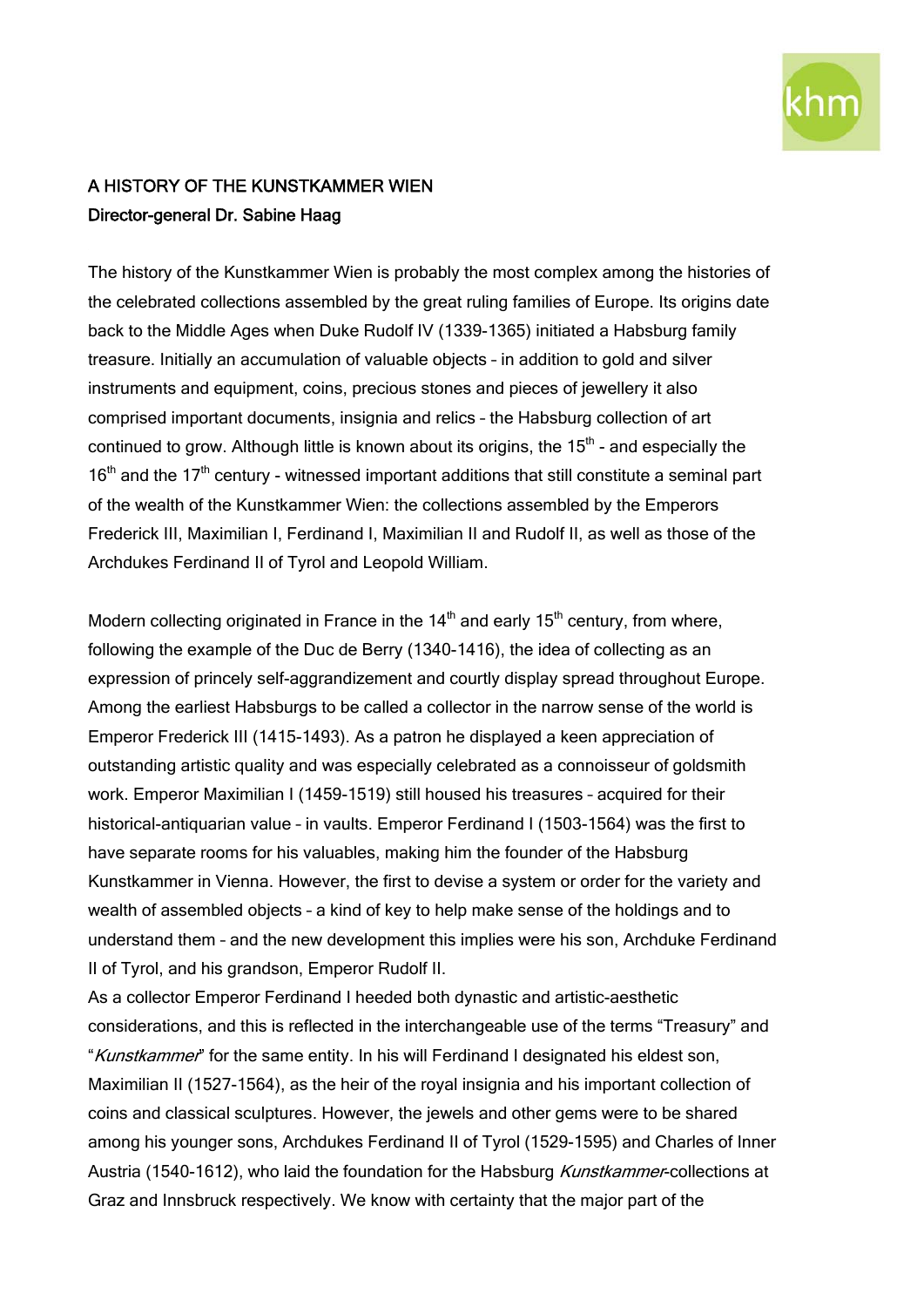

## A HISTORY OF THE KUNSTKAMMER WIEN Director-general Dr. Sabine Haag

The history of the Kunstkammer Wien is probably the most complex among the histories of the celebrated collections assembled by the great ruling families of Europe. Its origins date back to the Middle Ages when Duke Rudolf IV (1339-1365) initiated a Habsburg family treasure. Initially an accumulation of valuable objects – in addition to gold and silver instruments and equipment, coins, precious stones and pieces of jewellery it also comprised important documents, insignia and relics – the Habsburg collection of art continued to grow. Although little is known about its origins, the  $15<sup>th</sup>$  - and especially the 16<sup>th</sup> and the 17<sup>th</sup> century - witnessed important additions that still constitute a seminal part of the wealth of the Kunstkammer Wien: the collections assembled by the Emperors Frederick III, Maximilian I, Ferdinand I, Maximilian II and Rudolf II, as well as those of the Archdukes Ferdinand II of Tyrol and Leopold William.

Modern collecting originated in France in the  $14<sup>th</sup>$  and early 15<sup>th</sup> century, from where, following the example of the Duc de Berry (1340-1416), the idea of collecting as an expression of princely self-aggrandizement and courtly display spread throughout Europe. Among the earliest Habsburgs to be called a collector in the narrow sense of the world is Emperor Frederick III (1415-1493). As a patron he displayed a keen appreciation of outstanding artistic quality and was especially celebrated as a connoisseur of goldsmith work. Emperor Maximilian I (1459-1519) still housed his treasures – acquired for their historical-antiquarian value – in vaults. Emperor Ferdinand I (1503-1564) was the first to have separate rooms for his valuables, making him the founder of the Habsburg Kunstkammer in Vienna. However, the first to devise a system or order for the variety and wealth of assembled objects – a kind of key to help make sense of the holdings and to understand them – and the new development this implies were his son, Archduke Ferdinand II of Tyrol, and his grandson, Emperor Rudolf II.

As a collector Emperor Ferdinand I heeded both dynastic and artistic-aesthetic considerations, and this is reflected in the interchangeable use of the terms "Treasury" and "Kunstkammer" for the same entity. In his will Ferdinand I designated his eldest son, Maximilian II (1527-1564), as the heir of the royal insignia and his important collection of coins and classical sculptures. However, the jewels and other gems were to be shared among his younger sons, Archdukes Ferdinand II of Tyrol (1529-1595) and Charles of Inner Austria (1540-1612), who laid the foundation for the Habsburg *Kunstkammer*-collections at Graz and Innsbruck respectively. We know with certainty that the major part of the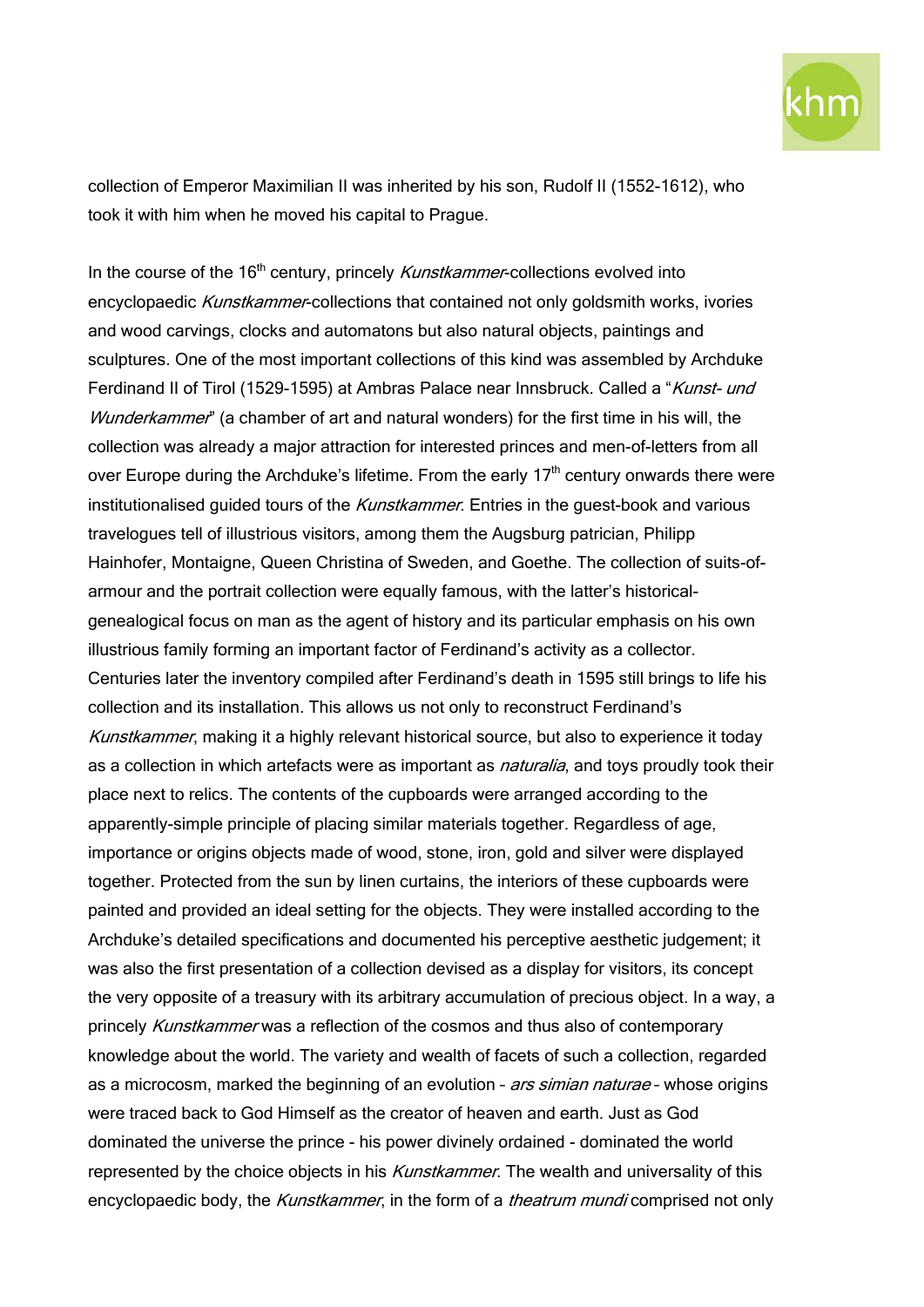

collection of Emperor Maximilian II was inherited by his son, Rudolf II (1552-1612), who took it with him when he moved his capital to Prague.

In the course of the  $16<sup>th</sup>$  century, princely *Kunstkammer*-collections evolved into encyclopaedic Kunstkammer-collections that contained not only goldsmith works, ivories and wood carvings, clocks and automatons but also natural objects, paintings and sculptures. One of the most important collections of this kind was assembled by Archduke Ferdinand II of Tirol (1529-1595) at Ambras Palace near Innsbruck. Called a "Kunst- und Wunderkammer" (a chamber of art and natural wonders) for the first time in his will, the collection was already a major attraction for interested princes and men-of-letters from all over Europe during the Archduke's lifetime. From the early  $17<sup>th</sup>$  century onwards there were institutionalised guided tours of the Kunstkammer. Entries in the quest-book and various travelogues tell of illustrious visitors, among them the Augsburg patrician, Philipp Hainhofer, Montaigne, Queen Christina of Sweden, and Goethe. The collection of suits-ofarmour and the portrait collection were equally famous, with the latter's historicalgenealogical focus on man as the agent of history and its particular emphasis on his own illustrious family forming an important factor of Ferdinand's activity as a collector. Centuries later the inventory compiled after Ferdinand's death in 1595 still brings to life his collection and its installation. This allows us not only to reconstruct Ferdinand's Kunstkammer, making it a highly relevant historical source, but also to experience it today as a collection in which artefacts were as important as *naturalia*, and toys proudly took their place next to relics. The contents of the cupboards were arranged according to the apparently-simple principle of placing similar materials together. Regardless of age, importance or origins objects made of wood, stone, iron, gold and silver were displayed together. Protected from the sun by linen curtains, the interiors of these cupboards were painted and provided an ideal setting for the objects. They were installed according to the Archduke's detailed specifications and documented his perceptive aesthetic judgement; it was also the first presentation of a collection devised as a display for visitors, its concept the very opposite of a treasury with its arbitrary accumulation of precious object. In a way, a princely Kunstkammer was a reflection of the cosmos and thus also of contemporary knowledge about the world. The variety and wealth of facets of such a collection, regarded as a microcosm, marked the beginning of an evolution - *ars simian naturae* - whose origins were traced back to God Himself as the creator of heaven and earth. Just as God dominated the universe the prince - his power divinely ordained - dominated the world represented by the choice objects in his *Kunstkammer*. The wealth and universality of this encyclopaedic body, the Kunstkammer, in the form of a theatrum mundi comprised not only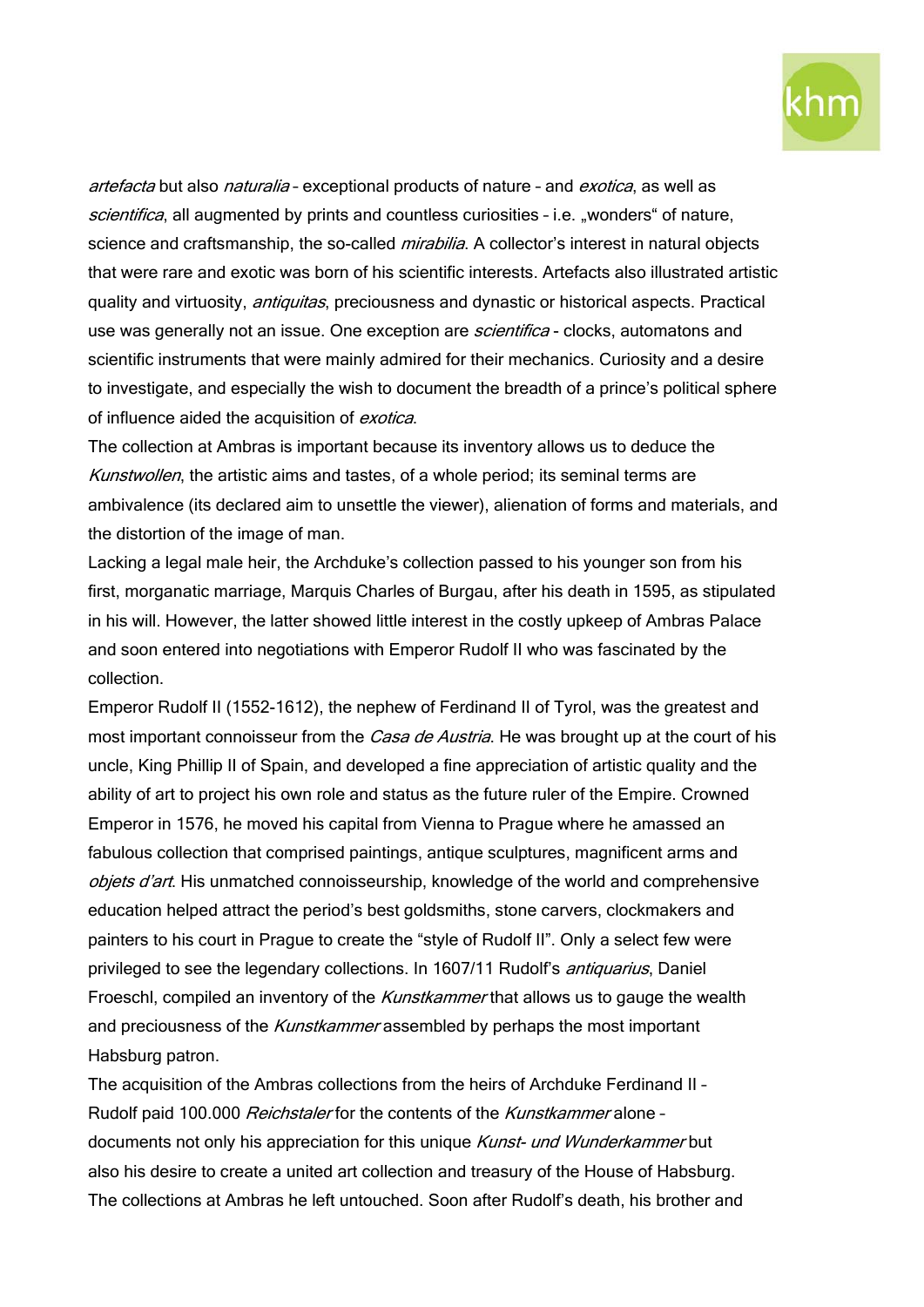

artefacta but also *naturalia* - exceptional products of nature - and *exotica*, as well as scientifica, all augmented by prints and countless curiosities - i.e. "wonders" of nature, science and craftsmanship, the so-called *mirabilia*. A collector's interest in natural objects that were rare and exotic was born of his scientific interests. Artefacts also illustrated artistic quality and virtuosity, *antiquitas*, preciousness and dynastic or historical aspects. Practical use was generally not an issue. One exception are *scientifica* - clocks, automatons and scientific instruments that were mainly admired for their mechanics. Curiosity and a desire to investigate, and especially the wish to document the breadth of a prince's political sphere of influence aided the acquisition of exotica.

The collection at Ambras is important because its inventory allows us to deduce the Kunstwollen, the artistic aims and tastes, of a whole period; its seminal terms are ambivalence (its declared aim to unsettle the viewer), alienation of forms and materials, and the distortion of the image of man.

Lacking a legal male heir, the Archduke's collection passed to his younger son from his first, morganatic marriage, Marquis Charles of Burgau, after his death in 1595, as stipulated in his will. However, the latter showed little interest in the costly upkeep of Ambras Palace and soon entered into negotiations with Emperor Rudolf II who was fascinated by the collection.

Emperor Rudolf II (1552-1612), the nephew of Ferdinand II of Tyrol, was the greatest and most important connoisseur from the *Casa de Austria*. He was brought up at the court of his uncle, King Phillip II of Spain, and developed a fine appreciation of artistic quality and the ability of art to project his own role and status as the future ruler of the Empire. Crowned Emperor in 1576, he moved his capital from Vienna to Prague where he amassed an fabulous collection that comprised paintings, antique sculptures, magnificent arms and objets d'art. His unmatched connoisseurship, knowledge of the world and comprehensive education helped attract the period's best goldsmiths, stone carvers, clockmakers and painters to his court in Prague to create the "style of Rudolf II". Only a select few were privileged to see the legendary collections. In 1607/11 Rudolf's *antiquarius*, Daniel Froeschl, compiled an inventory of the *Kunstkammer* that allows us to gauge the wealth and preciousness of the Kunstkammer assembled by perhaps the most important Habsburg patron.

The acquisition of the Ambras collections from the heirs of Archduke Ferdinand II – Rudolf paid 100.000 Reichstaler for the contents of the Kunstkammer alone documents not only his appreciation for this unique Kunst- und Wunderkammer but also his desire to create a united art collection and treasury of the House of Habsburg. The collections at Ambras he left untouched. Soon after Rudolf's death, his brother and